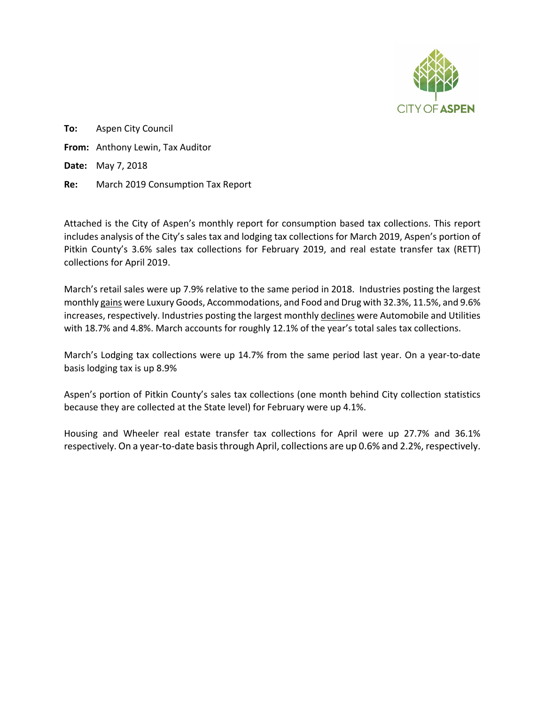

**To:** Aspen City Council **From:** Anthony Lewin, Tax Auditor **Date:** May 7, 2018 **Re:** March 2019 Consumption Tax Report

Attached is the City of Aspen's monthly report for consumption based tax collections. This report includes analysis of the City's sales tax and lodging tax collections for March 2019, Aspen's portion of Pitkin County's 3.6% sales tax collections for February 2019, and real estate transfer tax (RETT) collections for April 2019.

March's retail sales were up 7.9% relative to the same period in 2018. Industries posting the largest monthly gains were Luxury Goods, Accommodations, and Food and Drug with 32.3%, 11.5%, and 9.6% increases, respectively. Industries posting the largest monthly declines were Automobile and Utilities with 18.7% and 4.8%. March accounts for roughly 12.1% of the year's total sales tax collections.

March's Lodging tax collections were up 14.7% from the same period last year. On a year-to-date basis lodging tax is up 8.9%

Aspen's portion of Pitkin County's sales tax collections (one month behind City collection statistics because they are collected at the State level) for February were up 4.1%.

Housing and Wheeler real estate transfer tax collections for April were up 27.7% and 36.1% respectively. On a year-to-date basis through April, collections are up 0.6% and 2.2%, respectively.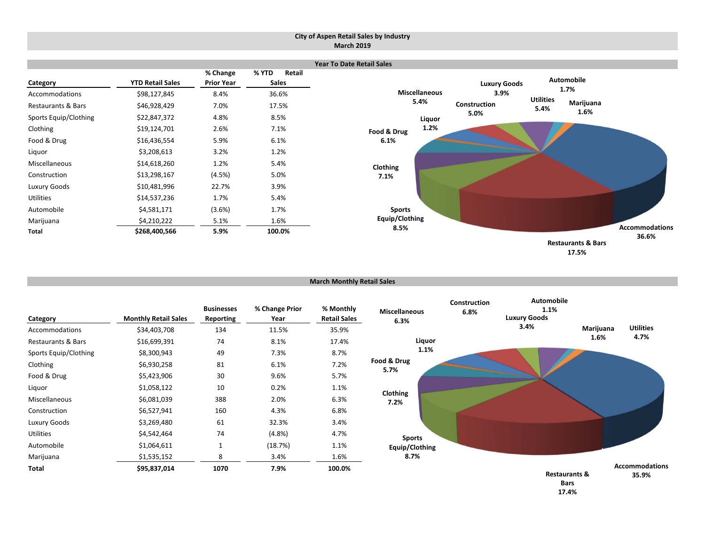#### **City of Aspen Retail Sales by Industry March 2019**



```
17.5%
```
**March Monthly Retail Sales**

| Category              | <b>Monthly Retail Sales</b> | <b>Businesses</b><br><b>Reporting</b> | % Change Prior<br>Year | % Monthly<br><b>Retail Sales</b> | <b>Miscellaneous</b><br>6.3% | Construction<br>6.8% | <b>Automobile</b><br>1.1%<br><b>Luxury Goods</b> |           |                                |
|-----------------------|-----------------------------|---------------------------------------|------------------------|----------------------------------|------------------------------|----------------------|--------------------------------------------------|-----------|--------------------------------|
| Accommodations        | \$34,403,708                | 134                                   | 11.5%                  | 35.9%                            |                              |                      | 3.4%                                             | Marijuana | <b>Utilities</b>               |
| Restaurants & Bars    | \$16,699,391                | 74                                    | 8.1%                   | 17.4%                            | Liquor                       |                      |                                                  | 1.6%      | 4.7%                           |
| Sports Equip/Clothing | \$8,300,943                 | 49                                    | 7.3%                   | 8.7%                             | 1.1%                         |                      |                                                  |           |                                |
| Clothing              | \$6,930,258                 | 81                                    | 6.1%                   | 7.2%                             | Food & Drug<br>5.7%          |                      |                                                  |           |                                |
| Food & Drug           | \$5,423,906                 | 30                                    | 9.6%                   | 5.7%                             |                              |                      |                                                  |           |                                |
| Liquor                | \$1,058,122                 | 10                                    | 0.2%                   | 1.1%                             | Clothing                     |                      |                                                  |           |                                |
| Miscellaneous         | \$6,081,039                 | 388                                   | 2.0%                   | 6.3%                             | 7.2%                         |                      |                                                  |           |                                |
| Construction          | \$6,527,941                 | 160                                   | 4.3%                   | 6.8%                             |                              |                      |                                                  |           |                                |
| Luxury Goods          | \$3,269,480                 | 61                                    | 32.3%                  | 3.4%                             |                              |                      |                                                  |           |                                |
| Utilities             | \$4,542,464                 | 74                                    | (4.8%)                 | 4.7%                             | <b>Sports</b>                |                      |                                                  |           |                                |
| Automobile            | \$1,064,611                 | 1                                     | (18.7%)                | 1.1%                             | Equip/Clothing               |                      |                                                  |           |                                |
| Marijuana             | \$1,535,152                 | 8                                     | 3.4%                   | 1.6%                             | 8.7%                         |                      |                                                  |           |                                |
| Total                 | \$95,837,014                | 1070                                  | 7.9%                   | 100.0%                           |                              |                      | <b>Restaurants &amp;</b><br><b>Rarc</b>          |           | <b>Accommodations</b><br>35.9% |

**Bars 17.4%**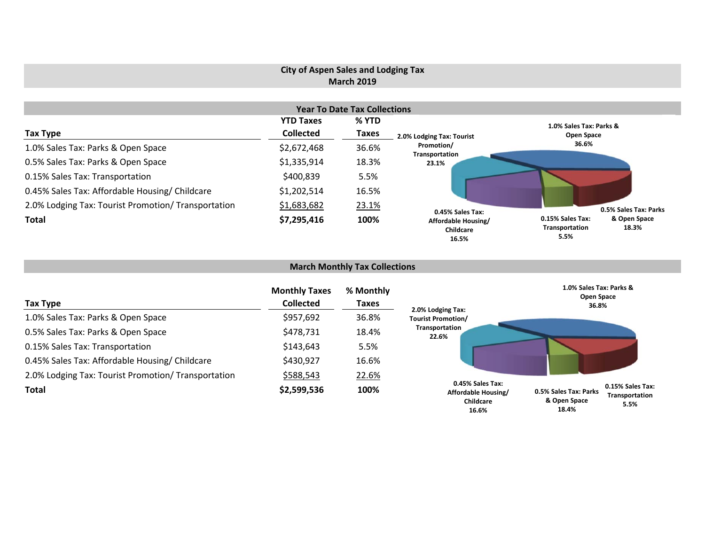# **City of Aspen Sales and Lodging Tax March 2019**

|                                                     |                  | <b>Year To Date Tax Collections</b> |                                           |                                                                     |  |
|-----------------------------------------------------|------------------|-------------------------------------|-------------------------------------------|---------------------------------------------------------------------|--|
|                                                     | <b>YTD Taxes</b> | % YTD                               |                                           | 1.0% Sales Tax: Parks &                                             |  |
| Tax Type                                            | <b>Collected</b> | <b>Taxes</b>                        | 2.0% Lodging Tax: Tourist                 | Open Space                                                          |  |
| 1.0% Sales Tax: Parks & Open Space                  | \$2,672,468      | 36.6%                               | Promotion/<br>Transportation              | 36.6%                                                               |  |
| 0.5% Sales Tax: Parks & Open Space                  | \$1,335,914      | 18.3%                               | 23.1%                                     |                                                                     |  |
| 0.15% Sales Tax: Transportation                     | \$400,839        | 5.5%                                |                                           |                                                                     |  |
| 0.45% Sales Tax: Affordable Housing/ Childcare      | \$1,202,514      | 16.5%                               |                                           |                                                                     |  |
| 2.0% Lodging Tax: Tourist Promotion/ Transportation | \$1,683,682      | 23.1%                               | 0.45% Sales Tax:                          | 0.5% Sales Tax: Parks                                               |  |
| <b>Total</b>                                        | \$7,295,416      | 100%                                | Affordable Housing/<br>Childcare<br>16.5% | 0.15% Sales Tax:<br>& Open Space<br>18.3%<br>Transportation<br>5.5% |  |

# **March Monthly Tax Collections**

| Tax Type                                            | <b>Monthly Taxes</b><br><b>Collected</b> | % Monthly<br>Taxes | 2.0% Lodging Tax:                                             | 1.0% Sales Tax: Parks &<br>Open Space<br>36.8% |                                            |
|-----------------------------------------------------|------------------------------------------|--------------------|---------------------------------------------------------------|------------------------------------------------|--------------------------------------------|
| 1.0% Sales Tax: Parks & Open Space                  | \$957,692                                | 36.8%              | <b>Tourist Promotion/</b>                                     |                                                |                                            |
| 0.5% Sales Tax: Parks & Open Space                  | \$478,731                                | 18.4%              | Transportation<br>22.6%                                       |                                                |                                            |
| 0.15% Sales Tax: Transportation                     | \$143,643                                | 5.5%               |                                                               |                                                |                                            |
| 0.45% Sales Tax: Affordable Housing/ Childcare      | \$430,927                                | 16.6%              |                                                               |                                                |                                            |
| 2.0% Lodging Tax: Tourist Promotion/ Transportation | \$588,543                                | 22.6%              |                                                               |                                                |                                            |
| <b>Total</b>                                        | \$2,599,536                              | 100%               | 0.45% Sales Tax:<br>Affordable Housing/<br>Childcare<br>16.6% | 0.5% Sales Tax: Parks<br>& Open Space<br>18.4% | 0.15% Sales Tax:<br>Transportation<br>5.5% |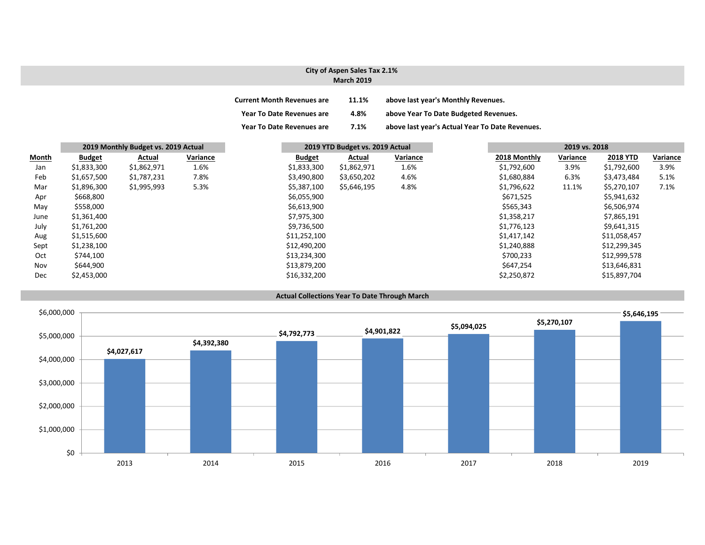#### **City of Aspen Sales Tax 2.1% March 2019**

| <b>Current Month Revenues are</b> | 11.1% | above last year's Monthly Revenues.             |
|-----------------------------------|-------|-------------------------------------------------|
| <b>Year To Date Revenues are</b>  | 4.8%  | above Year To Date Budgeted Revenues.           |
| <b>Year To Date Revenues are</b>  | 7.1%  | above last year's Actual Year To Date Revenues. |

|       | 2019 Monthly Budget vs. 2019 Actual |             |          | 2019 YTD Budget vs. 2019 Actual |             |          | 2019 vs. 2018 |              |          |                 |
|-------|-------------------------------------|-------------|----------|---------------------------------|-------------|----------|---------------|--------------|----------|-----------------|
| Month | <b>Budget</b>                       | Actual      | Variance | <b>Budget</b>                   | Actual      | Variance |               | 2018 Monthly | Variance | <b>2018 YTD</b> |
| Jan   | \$1,833,300                         | \$1,862,971 | 1.6%     | \$1,833,300                     | \$1,862,971 | 1.6%     |               | \$1,792,600  | 3.9%     | \$1,792,600     |
| Feb   | \$1,657,500                         | \$1,787,231 | 7.8%     | \$3,490,800                     | \$3,650,202 | 4.6%     |               | \$1,680,884  | 6.3%     | \$3,473,484     |
| Mar   | \$1,896,300                         | \$1,995,993 | 5.3%     | \$5,387,100                     | \$5,646,195 | 4.8%     |               | \$1,796,622  | 11.1%    | \$5,270,107     |
| Apr   | \$668,800                           |             |          | \$6,055,900                     |             |          |               | \$671,525    |          | \$5,941,632     |
| May   | \$558,000                           |             |          | \$6,613,900                     |             |          |               | \$565,343    |          | \$6,506,974     |
| June  | \$1,361,400                         |             |          | \$7,975,300                     |             |          |               | \$1,358,217  |          | \$7,865,191     |
| July  | \$1,761,200                         |             |          | \$9,736,500                     |             |          |               | \$1,776,123  |          | \$9,641,315     |
| Aug   | \$1,515,600                         |             |          | \$11,252,100                    |             |          |               | \$1,417,142  |          | \$11,058,457    |
| Sept  | \$1,238,100                         |             |          | \$12,490,200                    |             |          |               | \$1,240,888  |          | \$12,299,345    |
| Oct   | \$744,100                           |             |          | \$13,234,300                    |             |          |               | \$700,233    |          | \$12,999,578    |
| Nov   | \$644,900                           |             |          | \$13,879,200                    |             |          |               | \$647,254    |          | \$13,646,831    |
| Dec   | \$2,453,000                         |             |          | \$16,332,200                    |             |          |               | \$2,250,872  |          | \$15,897,704    |

**Actual Collections Year To Date Through March**

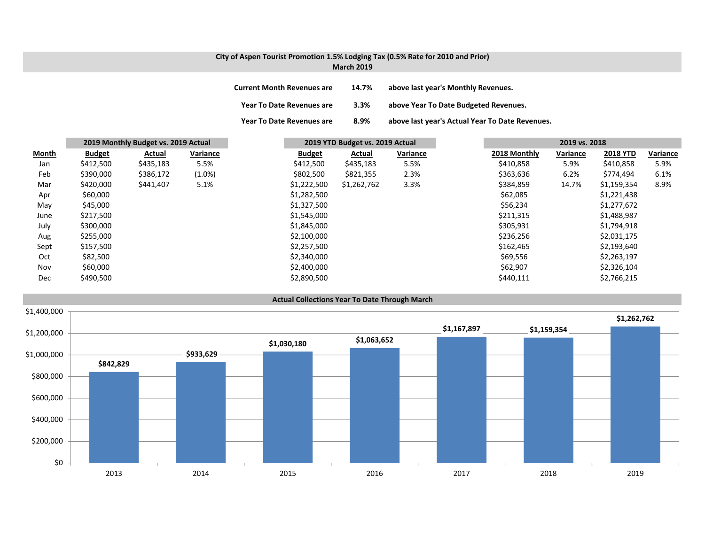#### **City of Aspen Tourist Promotion 1.5% Lodging Tax (0.5% Rate for 2010 and Prior) March 2019**

| <b>Current Month Revenues are</b> | 14.7% | above last year's Monthly Revenues.             |
|-----------------------------------|-------|-------------------------------------------------|
| Year To Date Revenues are         | 3.3%  | above Year To Date Budgeted Revenues.           |
| <b>Year To Date Revenues are</b>  | 8.9%  | above last year's Actual Year To Date Revenues. |

|       | 2019 Monthly Budget vs. 2019 Actual |           | 2019 YTD Budget vs. 2019 Actual |               | 2019 vs. 2018 |          |              |          |                 |          |
|-------|-------------------------------------|-----------|---------------------------------|---------------|---------------|----------|--------------|----------|-----------------|----------|
| Month | <b>Budget</b>                       | Actual    | Variance                        | <b>Budget</b> | Actual        | Variance | 2018 Monthly | Variance | <b>2018 YTD</b> | Variance |
| Jan   | \$412,500                           | \$435,183 | 5.5%                            | \$412,500     | \$435,183     | 5.5%     | \$410,858    | 5.9%     | \$410,858       | 5.9%     |
| Feb   | \$390,000                           | \$386,172 | $(1.0\%)$                       | \$802,500     | \$821,355     | 2.3%     | \$363,636    | 6.2%     | \$774,494       | 6.1%     |
| Mar   | \$420,000                           | \$441,407 | 5.1%                            | \$1,222,500   | \$1,262,762   | 3.3%     | \$384,859    | 14.7%    | \$1,159,354     | 8.9%     |
| Apr   | \$60,000                            |           |                                 | \$1,282,500   |               |          | \$62,085     |          | \$1,221,438     |          |
| May   | \$45,000                            |           |                                 | \$1,327,500   |               |          | \$56,234     |          | \$1,277,672     |          |
| June  | \$217,500                           |           |                                 | \$1,545,000   |               |          | \$211,315    |          | \$1,488,987     |          |
| July  | \$300,000                           |           |                                 | \$1,845,000   |               |          | \$305,931    |          | \$1,794,918     |          |
| Aug   | \$255,000                           |           |                                 | \$2,100,000   |               |          | \$236,256    |          | \$2,031,175     |          |
| Sept  | \$157,500                           |           |                                 | \$2,257,500   |               |          | \$162,465    |          | \$2,193,640     |          |
| Oct   | \$82,500                            |           |                                 | \$2,340,000   |               |          | \$69,556     |          | \$2,263,197     |          |
| Nov   | \$60,000                            |           |                                 | \$2,400,000   |               |          | \$62,907     |          | \$2,326,104     |          |
| Dec   | \$490,500                           |           |                                 | \$2,890,500   |               |          | \$440,111    |          | \$2,766,215     |          |

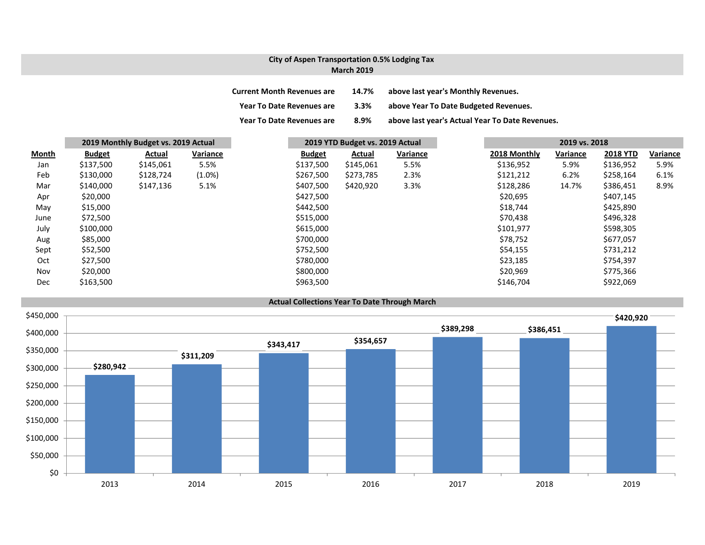### **City of Aspen Transportation 0.5% Lodging Tax March 2019**

| <b>Current Month Revenues are</b> | 14.7%   | above last year's Monthly Revenues.             |
|-----------------------------------|---------|-------------------------------------------------|
| <b>Year To Date Revenues are</b>  | $3.3\%$ | above Year To Date Budgeted Revenues.           |
| <b>Year To Date Revenues are</b>  | 8.9%    | above last year's Actual Year To Date Revenues. |

|       | 2019 Monthly Budget vs. 2019 Actual |           | 2019 YTD Budget vs. 2019 Actual |               |           | 2019 vs. 2018 |  |              |          |                 |          |
|-------|-------------------------------------|-----------|---------------------------------|---------------|-----------|---------------|--|--------------|----------|-----------------|----------|
| Month | <b>Budget</b>                       | Actual    | Variance                        | <b>Budget</b> | Actual    | Variance      |  | 2018 Monthly | Variance | <b>2018 YTD</b> | Variance |
| Jan   | \$137,500                           | \$145,061 | 5.5%                            | \$137,500     | \$145,061 | 5.5%          |  | \$136,952    | 5.9%     | \$136,952       | 5.9%     |
| Feb   | \$130,000                           | \$128,724 | $(1.0\%)$                       | \$267,500     | \$273,785 | 2.3%          |  | \$121,212    | 6.2%     | \$258,164       | 6.1%     |
| Mar   | \$140,000                           | \$147,136 | 5.1%                            | \$407,500     | \$420,920 | 3.3%          |  | \$128,286    | 14.7%    | \$386,451       | 8.9%     |
| Apr   | \$20,000                            |           |                                 | \$427,500     |           |               |  | \$20,695     |          | \$407,145       |          |
| May   | \$15,000                            |           |                                 | \$442,500     |           |               |  | \$18,744     |          | \$425,890       |          |
| June  | \$72,500                            |           |                                 | \$515,000     |           |               |  | \$70,438     |          | \$496,328       |          |
| July  | \$100,000                           |           |                                 | \$615,000     |           |               |  | \$101,977    |          | \$598,305       |          |
| Aug   | \$85,000                            |           |                                 | \$700,000     |           |               |  | \$78,752     |          | \$677,057       |          |
| Sept  | \$52,500                            |           |                                 | \$752,500     |           |               |  | \$54,155     |          | \$731,212       |          |
| Oct   | \$27,500                            |           |                                 | \$780,000     |           |               |  | \$23,185     |          | \$754,397       |          |
| Nov   | \$20,000                            |           |                                 | \$800,000     |           |               |  | \$20,969     |          | \$775,366       |          |
| Dec   | \$163,500                           |           |                                 | \$963,500     |           |               |  | \$146,704    |          | \$922,069       |          |

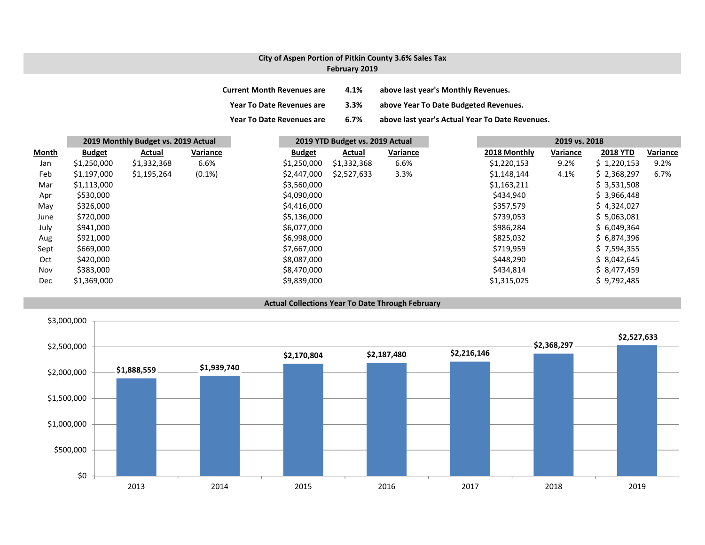### **City of Aspen Portion of Pitkin County 3.6% Sales Tax February 2019**

| <b>Current Month Revenues are</b> | 4.1% | above last year's Monthly Revenues.             |
|-----------------------------------|------|-------------------------------------------------|
| <b>Year To Date Revenues are</b>  | 3.3% | above Year To Date Budgeted Revenues.           |
| <b>Year To Date Revenues are</b>  | 6.7% | above last year's Actual Year To Date Revenues. |

|              | 2019 Monthly Budget vs. 2019 Actual |             |           | 2019 YTD Budget vs. 2019 Actual |             |          | 2019 vs. 2018 |              |          |                 |          |
|--------------|-------------------------------------|-------------|-----------|---------------------------------|-------------|----------|---------------|--------------|----------|-----------------|----------|
| <b>Month</b> | <b>Budget</b>                       | Actual      | Variance  | <b>Budget</b>                   | Actual      | Variance |               | 2018 Monthly | Variance | <b>2018 YTD</b> | Variance |
| Jan          | \$1,250,000                         | \$1,332,368 | 6.6%      | \$1,250,000                     | \$1,332,368 | 6.6%     |               | \$1,220,153  | 9.2%     | \$1,220,153     | 9.2%     |
| Feb          | \$1,197,000                         | \$1,195,264 | $(0.1\%)$ | \$2,447,000                     | \$2,527,633 | 3.3%     |               | \$1,148,144  | 4.1%     | \$2,368,297     | 6.7%     |
| Mar          | \$1,113,000                         |             |           | \$3,560,000                     |             |          |               | \$1,163,211  |          | \$3,531,508     |          |
| Apr          | \$530,000                           |             |           | \$4,090,000                     |             |          |               | \$434,940    |          | \$3,966,448     |          |
| May          | \$326,000                           |             |           | \$4,416,000                     |             |          |               | \$357,579    |          | \$4,324,027     |          |
| June         | \$720,000                           |             |           | \$5,136,000                     |             |          |               | \$739,053    |          | \$5,063,081     |          |
| July         | \$941,000                           |             |           | \$6,077,000                     |             |          |               | \$986,284    |          | \$6,049,364     |          |
| Aug          | \$921,000                           |             |           | \$6,998,000                     |             |          |               | \$825,032    |          | \$6,874,396     |          |
| Sept         | \$669,000                           |             |           | \$7,667,000                     |             |          |               | \$719,959    |          | \$7,594,355     |          |
| Oct          | \$420,000                           |             |           | \$8,087,000                     |             |          |               | \$448,290    |          | \$8,042,645     |          |
| Nov          | \$383,000                           |             |           | \$8,470,000                     |             |          |               | \$434,814    |          | \$8,477,459     |          |
| Dec          | \$1,369,000                         |             |           | \$9,839,000                     |             |          |               | \$1,315,025  |          | \$9,792,485     |          |



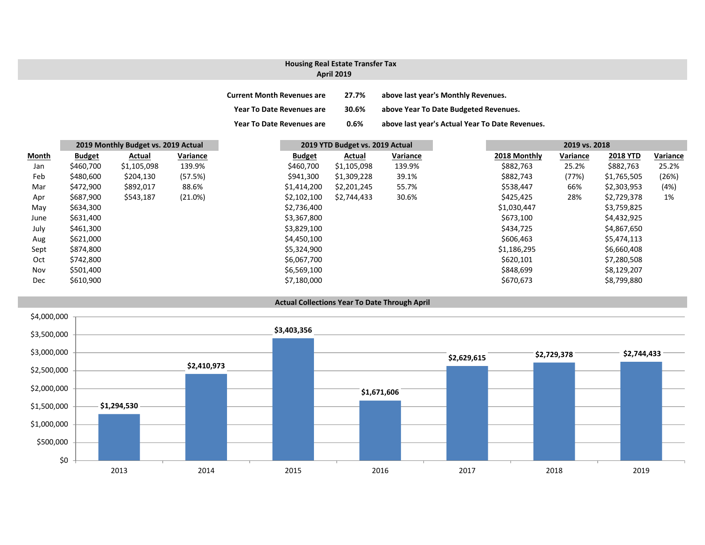## **Housing Real Estate Transfer Tax**

#### **April 2019**

| <b>Current Month Revenues are</b> | 27.7% | above last year's Monthly Revenues.             |
|-----------------------------------|-------|-------------------------------------------------|
| Year To Date Revenues are         | 30.6% | above Year To Date Budgeted Revenues.           |
| <b>Year To Date Revenues are</b>  | 0.6%  | above last year's Actual Year To Date Revenues. |

|       | 2019 Monthly Budget vs. 2019 Actual |             |          |               | 2019 YTD Budget vs. 2019 Actual |          |  | 2019 vs. 2018 |          |                 |          |
|-------|-------------------------------------|-------------|----------|---------------|---------------------------------|----------|--|---------------|----------|-----------------|----------|
| Month | <b>Budget</b>                       | Actual      | Variance | <b>Budget</b> | Actual                          | Variance |  | 2018 Monthly  | Variance | <b>2018 YTD</b> | Variance |
| Jan   | \$460,700                           | \$1,105,098 | 139.9%   | \$460,700     | \$1,105,098                     | 139.9%   |  | \$882,763     | 25.2%    | \$882,763       | 25.2%    |
| Feb   | \$480,600                           | \$204,130   | (57.5%)  | \$941,300     | \$1,309,228                     | 39.1%    |  | \$882,743     | (77%)    | \$1,765,505     | (26%)    |
| Mar   | \$472,900                           | \$892,017   | 88.6%    | \$1,414,200   | \$2,201,245                     | 55.7%    |  | \$538,447     | 66%      | \$2,303,953     | (4%)     |
| Apr   | \$687,900                           | \$543,187   | (21.0%)  | \$2,102,100   | \$2,744,433                     | 30.6%    |  | \$425,425     | 28%      | \$2,729,378     | 1%       |
| May   | \$634,300                           |             |          | \$2,736,400   |                                 |          |  | \$1,030,447   |          | \$3,759,825     |          |
| June  | \$631,400                           |             |          | \$3,367,800   |                                 |          |  | \$673,100     |          | \$4,432,925     |          |
| July  | \$461,300                           |             |          | \$3,829,100   |                                 |          |  | \$434,725     |          | \$4,867,650     |          |
| Aug   | \$621,000                           |             |          | \$4,450,100   |                                 |          |  | \$606,463     |          | \$5,474,113     |          |
| Sept  | \$874,800                           |             |          | \$5,324,900   |                                 |          |  | \$1,186,295   |          | \$6,660,408     |          |
| Oct   | \$742,800                           |             |          | \$6,067,700   |                                 |          |  | \$620,101     |          | \$7,280,508     |          |
| Nov   | \$501,400                           |             |          | \$6,569,100   |                                 |          |  | \$848,699     |          | \$8,129,207     |          |
| Dec   | \$610,900                           |             |          | \$7,180,000   |                                 |          |  | \$670,673     |          | \$8,799,880     |          |

### **Actual Collections Year To Date Through April**